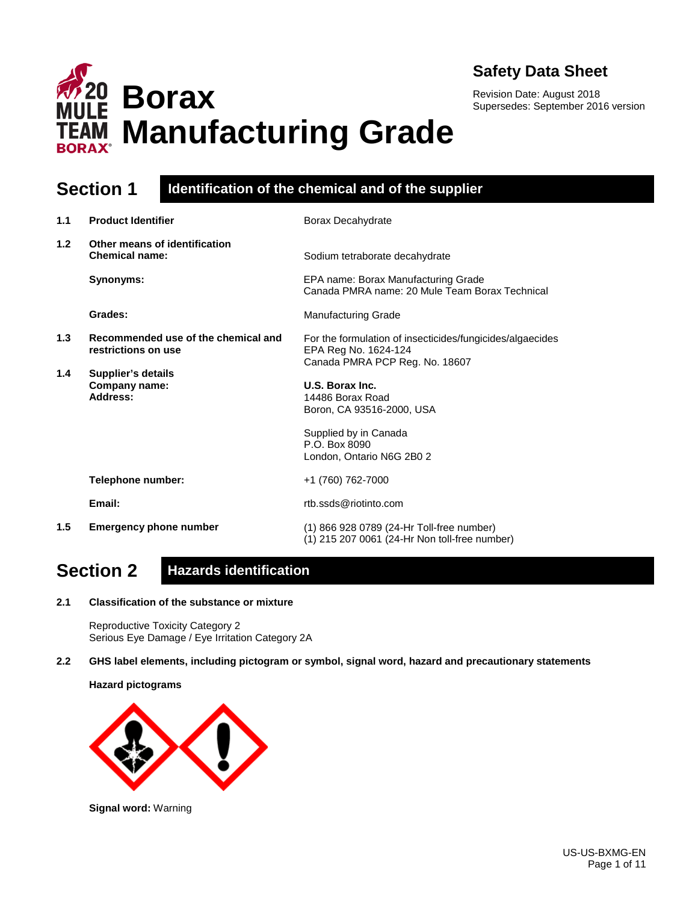

Revision Date: August 2018 Supersedes: September 2016 version



### **Section 1 Identification of the chemical and of the supplier**

| 1.1 | <b>Product Identifier</b>                                  | Borax Decahydrate                                                                                                   |
|-----|------------------------------------------------------------|---------------------------------------------------------------------------------------------------------------------|
| 1.2 | Other means of identification<br><b>Chemical name:</b>     | Sodium tetraborate decahydrate                                                                                      |
|     | Synonyms:                                                  | EPA name: Borax Manufacturing Grade<br>Canada PMRA name: 20 Mule Team Borax Technical                               |
|     | Grades:                                                    | <b>Manufacturing Grade</b>                                                                                          |
| 1.3 | Recommended use of the chemical and<br>restrictions on use | For the formulation of insecticides/fungicides/algaecides<br>EPA Reg No. 1624-124<br>Canada PMRA PCP Reg. No. 18607 |
| 1.4 | <b>Supplier's details</b><br>Company name:<br>Address:     | U.S. Borax Inc.<br>14486 Borax Road<br>Boron, CA 93516-2000, USA                                                    |
|     |                                                            | Supplied by in Canada<br>P.O. Box 8090<br>London, Ontario N6G 2B0 2                                                 |
|     | Telephone number:                                          | +1 (760) 762-7000                                                                                                   |
|     | Email:                                                     | rtb.ssds@riotinto.com                                                                                               |
| 1.5 | <b>Emergency phone number</b>                              | (1) 866 928 0789 (24-Hr Toll-free number)<br>(1) 215 207 0061 (24-Hr Non toll-free number)                          |

# **Section 2 Hazards identification**

**2.1 Classification of the substance or mixture**

Reproductive Toxicity Category 2 Serious Eye Damage / Eye Irritation Category 2A

**2.2 GHS label elements, including pictogram or symbol, signal word, hazard and precautionary statements** 

**Hazard pictograms**



**Signal word:** Warning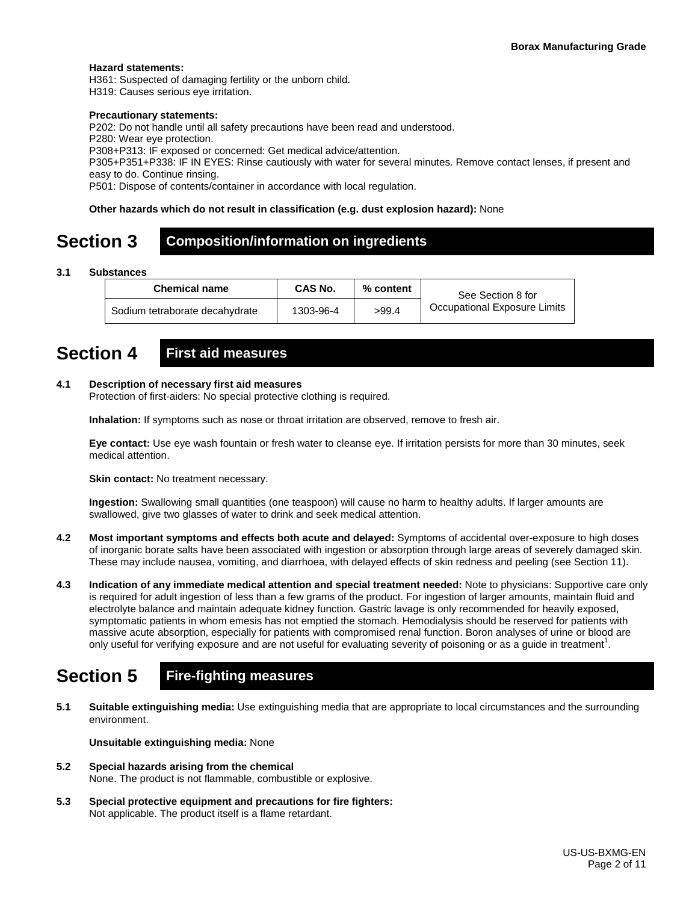#### **Hazard statements:**

H361: Suspected of damaging fertility or the unborn child.

H319: Causes serious eye irritation.

#### **Precautionary statements:**

P202: Do not handle until all safety precautions have been read and understood.

P280: Wear eye protection.

P308+P313: IF exposed or concerned: Get medical advice/attention.

P305+P351+P338: IF IN EYES: Rinse cautiously with water for several minutes. Remove contact lenses, if present and easy to do. Continue rinsing.

P501: Dispose of contents/container in accordance with local regulation.

#### **Other hazards which do not result in classification (e.g. dust explosion hazard):** None

### **Section 3 Composition/information on ingredients**

#### **3.1 Substances**

| <b>Chemical name</b>           | CAS No.   | % content | See Section 8 for            |
|--------------------------------|-----------|-----------|------------------------------|
| Sodium tetraborate decahydrate | 1303-96-4 | >99.4     | Occupational Exposure Limits |

# **Section 4 First aid measures**

#### **4.1 Description of necessary first aid measures**

Protection of first-aiders: No special protective clothing is required.

**Inhalation:** If symptoms such as nose or throat irritation are observed, remove to fresh air.

**Eye contact:** Use eye wash fountain or fresh water to cleanse eye. If irritation persists for more than 30 minutes, seek medical attention.

**Skin contact:** No treatment necessary.

**Ingestion:** Swallowing small quantities (one teaspoon) will cause no harm to healthy adults. If larger amounts are swallowed, give two glasses of water to drink and seek medical attention.

- **4.2 Most important symptoms and effects both acute and delayed:** Symptoms of accidental over-exposure to high doses of inorganic borate salts have been associated with ingestion or absorption through large areas of severely damaged skin. These may include nausea, vomiting, and diarrhoea, with delayed effects of skin redness and peeling (see Section 11).
- **4.3 Indication of any immediate medical attention and special treatment needed:** Note to physicians: Supportive care only is required for adult ingestion of less than a few grams of the product. For ingestion of larger amounts, maintain fluid and electrolyte balance and maintain adequate kidney function. Gastric lavage is only recommended for heavily exposed, symptomatic patients in whom emesis has not emptied the stomach. Hemodialysis should be reserved for patients with massive acute absorption, especially for patients with compromised renal function. Boron analyses of urine or blood are only useful for verifying exposure and are not useful for evaluating severity of poisoning or as a guide in treatment<sup>1</sup>.

# **Section 5 Fire-fighting measures**

**5.1 Suitable extinguishing media:** Use extinguishing media that are appropriate to local circumstances and the surrounding environment.

**Unsuitable extinguishing media:** None

- **5.2 Special hazards arising from the chemical** None. The product is not flammable, combustible or explosive.
- **5.3 Special protective equipment and precautions for fire fighters:**  Not applicable. The product itself is a flame retardant.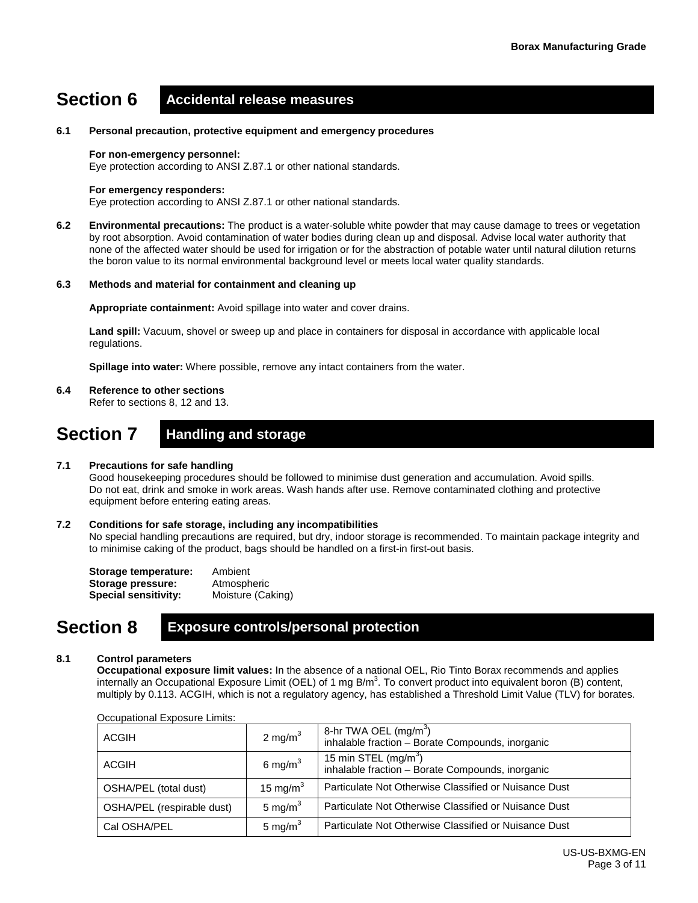# **Section 6 Accidental release measures**

#### **6.1 Personal precaution, protective equipment and emergency procedures**

#### **For non-emergency personnel:**

Eye protection according to ANSI Z.87.1 or other national standards.

#### **For emergency responders:**

Eye protection according to ANSI Z.87.1 or other national standards.

**6.2 Environmental precautions:** The product is a water-soluble white powder that may cause damage to trees or vegetation by root absorption. Avoid contamination of water bodies during clean up and disposal. Advise local water authority that none of the affected water should be used for irrigation or for the abstraction of potable water until natural dilution returns the boron value to its normal environmental background level or meets local water quality standards.

#### **6.3 Methods and material for containment and cleaning up**

**Appropriate containment:** Avoid spillage into water and cover drains.

**Land spill:** Vacuum, shovel or sweep up and place in containers for disposal in accordance with applicable local regulations.

**Spillage into water:** Where possible, remove any intact containers from the water.

#### **6.4 Reference to other sections**

Refer to sections 8, 12 and 13.

### **Section 7 Handling and storage**

#### **7.1 Precautions for safe handling**

Good housekeeping procedures should be followed to minimise dust generation and accumulation. Avoid spills. Do not eat, drink and smoke in work areas. Wash hands after use. Remove contaminated clothing and protective equipment before entering eating areas.

#### **7.2 Conditions for safe storage, including any incompatibilities**

No special handling precautions are required, but dry, indoor storage is recommended. To maintain package integrity and to minimise caking of the product, bags should be handled on a first-in first-out basis.

| Storage temperature:        | Ambient           |
|-----------------------------|-------------------|
| Storage pressure:           | Atmospheric       |
| <b>Special sensitivity:</b> | Moisture (Caking) |

### **Section 8 Exposure controls/personal protection**

#### **8.1 Control parameters**

**Occupational exposure limit values:** In the absence of a national OEL, Rio Tinto Borax recommends and applies internally an Occupational Exposure Limit (OEL) of 1 mg B/m<sup>3</sup>. To convert product into equivalent boron (B) content, multiply by 0.113. ACGIH, which is not a regulatory agency, has established a Threshold Limit Value (TLV) for borates.

| Occupational LAPOSUIG LIMINS. |              |                                                                                       |  |  |
|-------------------------------|--------------|---------------------------------------------------------------------------------------|--|--|
| <b>ACGIH</b>                  | 2 mg/m $3$   | 8-hr TWA OEL (mg/m <sup>3</sup> )<br>inhalable fraction - Borate Compounds, inorganic |  |  |
| ACGIH                         | 6 mg/m $3$   | 15 min STEL $(mg/m3)$<br>inhalable fraction - Borate Compounds, inorganic             |  |  |
| OSHA/PEL (total dust)         | 15 mg/m $^3$ | Particulate Not Otherwise Classified or Nuisance Dust                                 |  |  |
| OSHA/PEL (respirable dust)    | 5 mg/m $3$   | Particulate Not Otherwise Classified or Nuisance Dust                                 |  |  |
| Cal OSHA/PEL                  | 5 mg/m $3$   | Particulate Not Otherwise Classified or Nuisance Dust                                 |  |  |

Occupational Exposure Limits: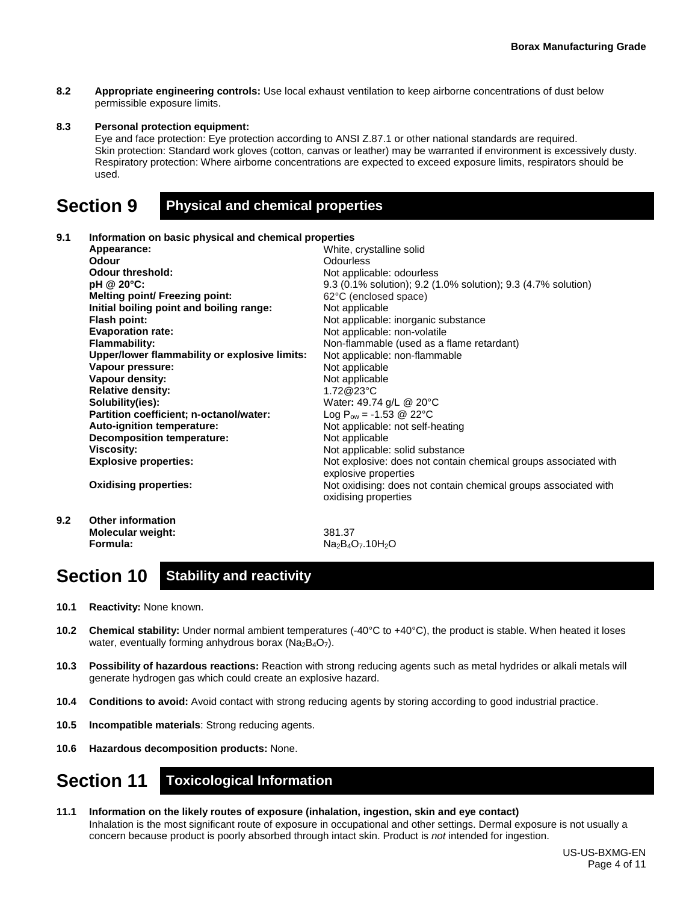**8.2 Appropriate engineering controls:** Use local exhaust ventilation to keep airborne concentrations of dust below permissible exposure limits.

#### **8.3 Personal protection equipment:**

Eye and face protection: Eye protection according to ANSI Z.87.1 or other national standards are required. Skin protection: Standard work gloves (cotton, canvas or leather) may be warranted if environment is excessively dusty. Respiratory protection: Where airborne concentrations are expected to exceed exposure limits, respirators should be used.

### **Section 9 Physical and chemical properties**

#### **9.1 Information on basic physical and chemical properties**

| Appearance:                                   | White, crystalline solid                                                                |
|-----------------------------------------------|-----------------------------------------------------------------------------------------|
| <b>Odour</b>                                  | Odourless                                                                               |
| <b>Odour threshold:</b>                       | Not applicable: odourless                                                               |
| pH @ 20°C:                                    | 9.3 (0.1% solution); 9.2 (1.0% solution); 9.3 (4.7% solution)                           |
| <b>Melting point/ Freezing point:</b>         | 62°C (enclosed space)                                                                   |
| Initial boiling point and boiling range:      | Not applicable                                                                          |
| <b>Flash point:</b>                           | Not applicable: inorganic substance                                                     |
| <b>Evaporation rate:</b>                      | Not applicable: non-volatile                                                            |
| <b>Flammability:</b>                          | Non-flammable (used as a flame retardant)                                               |
| Upper/lower flammability or explosive limits: | Not applicable: non-flammable                                                           |
| Vapour pressure:                              | Not applicable                                                                          |
| Vapour density:                               | Not applicable                                                                          |
| <b>Relative density:</b>                      | 1.72@23°C                                                                               |
| Solubility(ies):                              | Water: 49.74 g/L @ 20°C                                                                 |
| Partition coefficient; n-octanol/water:       | Log $P_{ow} = -1.53$ @ 22°C                                                             |
| Auto-ignition temperature:                    | Not applicable: not self-heating                                                        |
| Decomposition temperature:                    | Not applicable                                                                          |
| <b>Viscosity:</b>                             | Not applicable: solid substance                                                         |
| <b>Explosive properties:</b>                  | Not explosive: does not contain chemical groups associated with<br>explosive properties |
| <b>Oxidising properties:</b>                  | Not oxidising: does not contain chemical groups associated with<br>oxidising properties |

**9.2 Other information Molecular weight: Formula:**

381.37  $Na<sub>2</sub>B<sub>4</sub>O<sub>7</sub>$ .10H<sub>2</sub>O

# **Section 10 Stability and reactivity**

- **10.1 Reactivity:** None known.
- **10.2 Chemical stability:** Under normal ambient temperatures (-40°C to +40°C), the product is stable. When heated it loses water, eventually forming anhydrous borax ( $Na<sub>2</sub>B<sub>4</sub>O<sub>7</sub>$ ).
- **10.3 Possibility of hazardous reactions:** Reaction with strong reducing agents such as metal hydrides or alkali metals will generate hydrogen gas which could create an explosive hazard.
- **10.4 Conditions to avoid:** Avoid contact with strong reducing agents by storing according to good industrial practice.
- **10.5 Incompatible materials**: Strong reducing agents.
- **10.6 Hazardous decomposition products:** None.

# **Section 11 Toxicological Information**

**11.1 Information on the likely routes of exposure (inhalation, ingestion, skin and eye contact)** Inhalation is the most significant route of exposure in occupational and other settings. Dermal exposure is not usually a concern because product is poorly absorbed through intact skin. Product is *not* intended for ingestion.

> US-US-BXMG-EN Page 4 of 11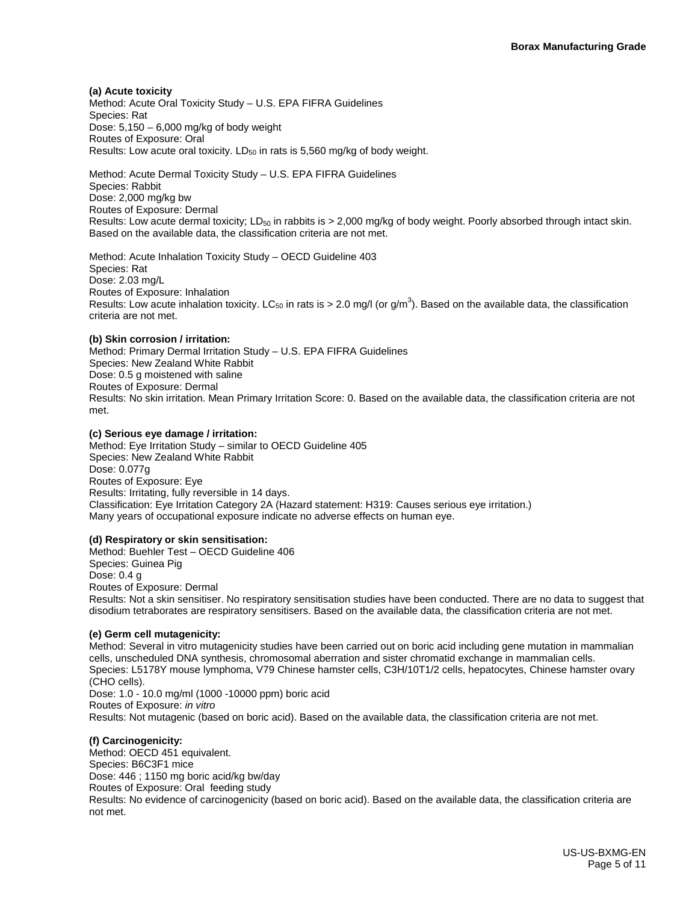**(a) Acute toxicity**

Method: Acute Oral Toxicity Study – U.S. EPA FIFRA Guidelines Species: Rat Dose:  $5,150 - 6,000$  mg/kg of body weight Routes of Exposure: Oral Results: Low acute oral toxicity. LD<sub>50</sub> in rats is 5,560 mg/kg of body weight.

Method: Acute Dermal Toxicity Study – U.S. EPA FIFRA Guidelines Species: Rabbit Dose: 2,000 mg/kg bw Routes of Exposure: Dermal Results: Low acute dermal toxicity; LD<sub>50</sub> in rabbits is  $> 2,000$  mg/kg of body weight. Poorly absorbed through intact skin. Based on the available data, the classification criteria are not met.

Method: Acute Inhalation Toxicity Study – OECD Guideline 403 Species: Rat Dose: 2.03 mg/L Routes of Exposure: Inhalation Results: Low acute inhalation toxicity. LC<sub>50</sub> in rats is > 2.0 mg/l (or g/m<sup>3</sup>). Based on the available data, the classification criteria are not met.

#### **(b) Skin corrosion / irritation:**

Method: Primary Dermal Irritation Study – U.S. EPA FIFRA Guidelines Species: New Zealand White Rabbit Dose: 0.5 g moistened with saline Routes of Exposure: Dermal Results: No skin irritation. Mean Primary Irritation Score: 0. Based on the available data, the classification criteria are not met.

#### **(c) Serious eye damage / irritation:**

Method: Eye Irritation Study – similar to OECD Guideline 405 Species: New Zealand White Rabbit Dose: 0.077g Routes of Exposure: Eye Results: Irritating, fully reversible in 14 days. Classification: Eye Irritation Category 2A (Hazard statement: H319: Causes serious eye irritation.) Many years of occupational exposure indicate no adverse effects on human eye.

#### **(d) Respiratory or skin sensitisation:**

Method: Buehler Test – OECD Guideline 406 Species: Guinea Pig Dose: 0.4 g Routes of Exposure: Dermal Results: Not a skin sensitiser. No respiratory sensitisation studies have been conducted. There are no data to suggest that disodium tetraborates are respiratory sensitisers. Based on the available data, the classification criteria are not met.

#### **(e) Germ cell mutagenicity:**

Method: Several in vitro mutagenicity studies have been carried out on boric acid including gene mutation in mammalian cells, unscheduled DNA synthesis, chromosomal aberration and sister chromatid exchange in mammalian cells. Species: L5178Y mouse lymphoma, V79 Chinese hamster cells, C3H/10T1/2 cells, hepatocytes, Chinese hamster ovary (CHO cells). Dose: 1.0 - 10.0 mg/ml (1000 -10000 ppm) boric acid Routes of Exposure: *in vitro* Results: Not mutagenic (based on boric acid). Based on the available data, the classification criteria are not met.

#### **(f) Carcinogenicity:**

Method: OECD 451 equivalent. Species: B6C3F1 mice Dose: 446 ; 1150 mg boric acid/kg bw/day Routes of Exposure: Oral feeding study Results: No evidence of carcinogenicity (based on boric acid). Based on the available data, the classification criteria are not met.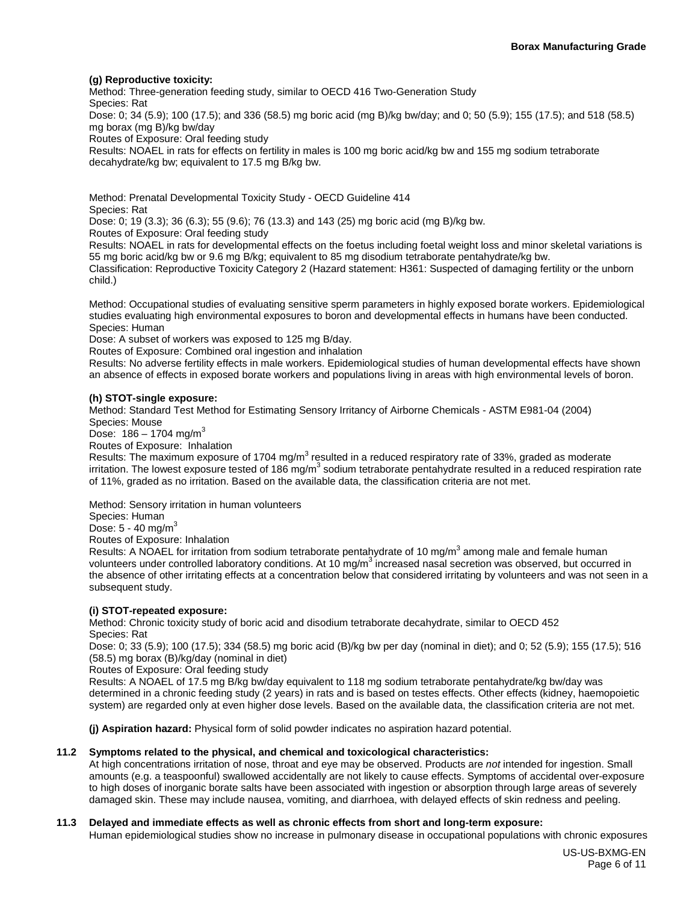#### **(g) Reproductive toxicity:**

Method: Three-generation feeding study, similar to OECD 416 Two-Generation Study Species: Rat Dose: 0; 34 (5.9); 100 (17.5); and 336 (58.5) mg boric acid (mg B)/kg bw/day; and 0; 50 (5.9); 155 (17.5); and 518 (58.5) mg borax (mg B)/kg bw/day Routes of Exposure: Oral feeding study

Results: NOAEL in rats for effects on fertility in males is 100 mg boric acid/kg bw and 155 mg sodium tetraborate decahydrate/kg bw; equivalent to 17.5 mg B/kg bw.

Method: Prenatal Developmental Toxicity Study - OECD Guideline 414 Species: Rat Dose: 0; 19 (3.3); 36 (6.3); 55 (9.6); 76 (13.3) and 143 (25) mg boric acid (mg B)/kg bw. Routes of Exposure: Oral feeding study Results: NOAEL in rats for developmental effects on the foetus including foetal weight loss and minor skeletal variations is

55 mg boric acid/kg bw or 9.6 mg B/kg; equivalent to 85 mg disodium tetraborate pentahydrate/kg bw. Classification: Reproductive Toxicity Category 2 (Hazard statement: H361: Suspected of damaging fertility or the unborn child.)

Method: Occupational studies of evaluating sensitive sperm parameters in highly exposed borate workers. Epidemiological studies evaluating high environmental exposures to boron and developmental effects in humans have been conducted. Species: Human

Dose: A subset of workers was exposed to 125 mg B/day.

Routes of Exposure: Combined oral ingestion and inhalation

Results: No adverse fertility effects in male workers. Epidemiological studies of human developmental effects have shown an absence of effects in exposed borate workers and populations living in areas with high environmental levels of boron.

#### **(h) STOT-single exposure:**

Method: Standard Test Method for Estimating Sensory Irritancy of Airborne Chemicals - ASTM E981-04 (2004) Species: Mouse

Dose:  $186 - 1704$  mg/m<sup>3</sup>

Routes of Exposure: Inhalation

Results: The maximum exposure of 1704 mg/m<sup>3</sup> resulted in a reduced respiratory rate of 33%, graded as moderate irritation. The lowest exposure tested of 186 mg/m<sup>3</sup> sodium tetraborate pentahydrate resulted in a reduced respiration rate of 11%, graded as no irritation. Based on the available data, the classification criteria are not met.

Method: Sensory irritation in human volunteers

Species: Human

Dose:  $5 - 40$  mg/m<sup>3</sup>

Routes of Exposure: Inhalation

Results: A NOAEL for irritation from sodium tetraborate pentahydrate of 10 mg/m<sup>3</sup> among male and female human volunteers under controlled laboratory conditions. At 10 mg/m<sup>3</sup> increased nasal secretion was observed, but occurred in the absence of other irritating effects at a concentration below that considered irritating by volunteers and was not seen in a subsequent study.

#### **(i) STOT-repeated exposure:**

Method: Chronic toxicity study of boric acid and disodium tetraborate decahydrate, similar to OECD 452 Species: Rat

Dose: 0; 33 (5.9); 100 (17.5); 334 (58.5) mg boric acid (B)/kg bw per day (nominal in diet); and 0; 52 (5.9); 155 (17.5); 516 (58.5) mg borax (B)/kg/day (nominal in diet)

Routes of Exposure: Oral feeding study

Results: A NOAEL of 17.5 mg B/kg bw/day equivalent to 118 mg sodium tetraborate pentahydrate/kg bw/day was determined in a chronic feeding study (2 years) in rats and is based on testes effects. Other effects (kidney, haemopoietic system) are regarded only at even higher dose levels. Based on the available data, the classification criteria are not met.

**(j) Aspiration hazard:** Physical form of solid powder indicates no aspiration hazard potential.

#### **11.2 Symptoms related to the physical, and chemical and toxicological characteristics:**

At high concentrations irritation of nose, throat and eye may be observed. Products are *not* intended for ingestion. Small amounts (e.g. a teaspoonful) swallowed accidentally are not likely to cause effects. Symptoms of accidental over-exposure to high doses of inorganic borate salts have been associated with ingestion or absorption through large areas of severely damaged skin. These may include nausea, vomiting, and diarrhoea, with delayed effects of skin redness and peeling.

#### **11.3 Delayed and immediate effects as well as chronic effects from short and long-term exposure:**

Human epidemiological studies show no increase in pulmonary disease in occupational populations with chronic exposures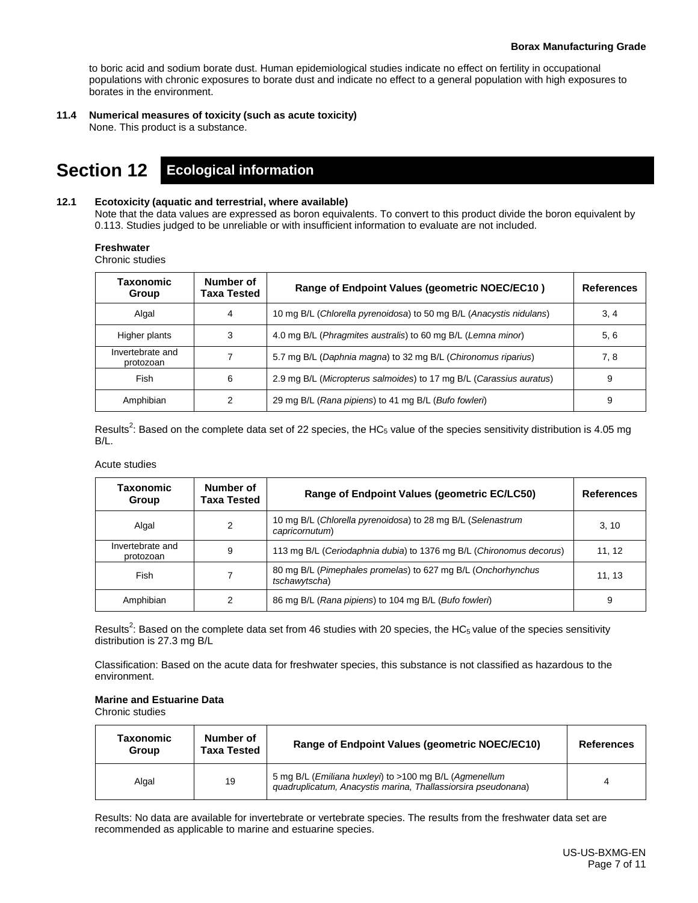to boric acid and sodium borate dust. Human epidemiological studies indicate no effect on fertility in occupational populations with chronic exposures to borate dust and indicate no effect to a general population with high exposures to borates in the environment.

**11.4 Numerical measures of toxicity (such as acute toxicity)**

None. This product is a substance.

# **Section 12 Ecological information**

#### **12.1 Ecotoxicity (aquatic and terrestrial, where available)**

Note that the data values are expressed as boron equivalents. To convert to this product divide the boron equivalent by 0.113. Studies judged to be unreliable or with insufficient information to evaluate are not included.

#### **Freshwater**

Chronic studies

| <b>Taxonomic</b><br>Group     | Number of<br>Taxa Tested | Range of Endpoint Values (geometric NOEC/EC10)                      | <b>References</b> |
|-------------------------------|--------------------------|---------------------------------------------------------------------|-------------------|
| Algal                         | 4                        | 10 mg B/L (Chlorella pyrenoidosa) to 50 mg B/L (Anacystis nidulans) | 3, 4              |
| Higher plants                 | 3                        | 4.0 mg B/L (Phragmites australis) to 60 mg B/L (Lemna minor)        | 5, 6              |
| Invertebrate and<br>protozoan |                          | 5.7 mg B/L (Daphnia magna) to 32 mg B/L (Chironomus riparius)       | 7, 8              |
| Fish                          | 6                        | 2.9 mg B/L (Micropterus salmoides) to 17 mg B/L (Carassius auratus) | 9                 |
| Amphibian                     |                          | 29 mg B/L (Rana pipiens) to 41 mg B/L (Bufo fowleri)                | 9                 |

Results<sup>2</sup>: Based on the complete data set of 22 species, the HC<sub>5</sub> value of the species sensitivity distribution is 4.05 mg B/L.

#### Acute studies

| Taxonomic<br>Group            | Number of<br>Taxa Tested | Range of Endpoint Values (geometric EC/LC50)                                  | <b>References</b> |
|-------------------------------|--------------------------|-------------------------------------------------------------------------------|-------------------|
| Algal                         | 2                        | 10 mg B/L (Chlorella pyrenoidosa) to 28 mg B/L (Selenastrum<br>capricornutum) | 3, 10             |
| Invertebrate and<br>protozoan | 9                        | 113 mg B/L (Ceriodaphnia dubia) to 1376 mg B/L (Chironomus decorus)           | 11, 12            |
| Fish                          |                          | 80 mg B/L (Pimephales promelas) to 627 mg B/L (Onchorhynchus<br>tschawytscha) | 11, 13            |
| Amphibian                     | 2                        | 86 mg B/L (Rana pipiens) to 104 mg B/L (Bufo fowleri)                         | 9                 |

Results<sup>2</sup>: Based on the complete data set from 46 studies with 20 species, the HC<sub>5</sub> value of the species sensitivity distribution is 27.3 mg B/L

Classification: Based on the acute data for freshwater species, this substance is not classified as hazardous to the environment.

#### **Marine and Estuarine Data**

Chronic studies

| Taxonomic<br>Group | Number of<br><b>Taxa Tested</b> | Range of Endpoint Values (geometric NOEC/EC10)                                                                          | <b>References</b> |
|--------------------|---------------------------------|-------------------------------------------------------------------------------------------------------------------------|-------------------|
| Algal              | 19                              | 5 mg B/L (Emiliana huxleyi) to >100 mg B/L (Agmenellum<br>guadruplicatum, Anacystis marina, Thallassiorsira pseudonana) |                   |

Results: No data are available for invertebrate or vertebrate species. The results from the freshwater data set are recommended as applicable to marine and estuarine species.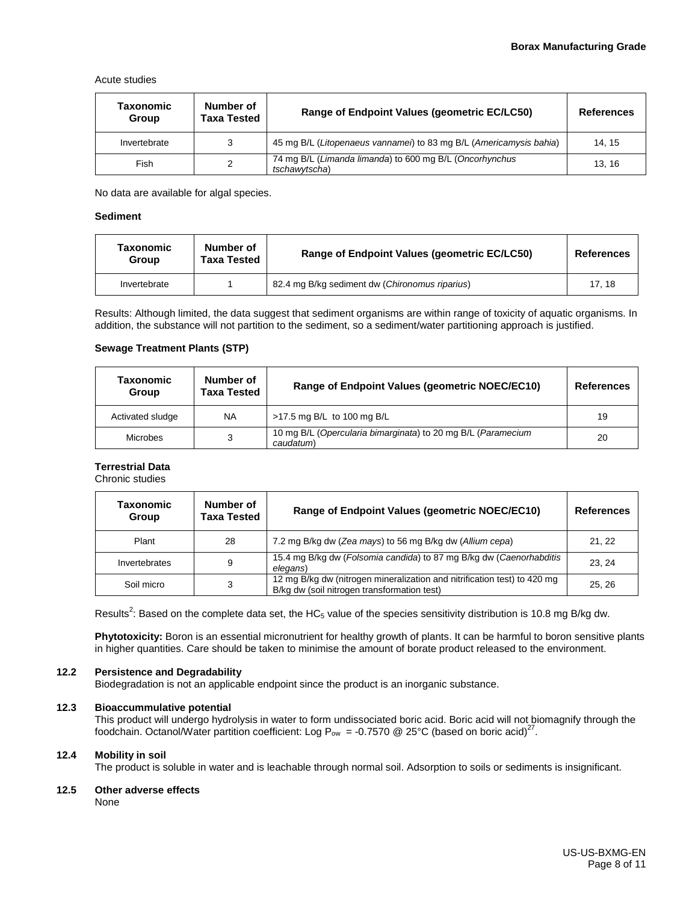Acute studies

| Taxonomic<br>Group | Number of<br><b>Taxa Tested</b> | Range of Endpoint Values (geometric EC/LC50)                             | <b>References</b> |
|--------------------|---------------------------------|--------------------------------------------------------------------------|-------------------|
| Invertebrate       | 3                               | 45 mg B/L (Litopenaeus vannamei) to 83 mg B/L (Americamysis bahia)       | 14.15             |
| Fish               | 2                               | 74 mg B/L (Limanda limanda) to 600 mg B/L (Oncorhynchus<br>tschawytscha) | 13, 16            |

No data are available for algal species.

#### **Sediment**

| Taxonomic<br>Group | Number of<br>Taxa Tested | Range of Endpoint Values (geometric EC/LC50)   | <b>References</b> |
|--------------------|--------------------------|------------------------------------------------|-------------------|
| Invertebrate       |                          | 82.4 mg B/kg sediment dw (Chironomus riparius) | 17.18             |

Results: Although limited, the data suggest that sediment organisms are within range of toxicity of aquatic organisms. In addition, the substance will not partition to the sediment, so a sediment/water partitioning approach is justified.

#### **Sewage Treatment Plants (STP)**

| Taxonomic<br>Group | Number of<br><b>Taxa Tested</b> | Range of Endpoint Values (geometric NOEC/EC10)                            | <b>References</b> |
|--------------------|---------------------------------|---------------------------------------------------------------------------|-------------------|
| Activated sludge   | <b>NA</b>                       | >17.5 mg B/L to 100 mg B/L                                                | 19                |
| Microbes           | 3                               | 10 mg B/L (Opercularia bimarginata) to 20 mg B/L (Paramecium<br>caudatum) | 20                |

#### **Terrestrial Data**

Chronic studies

| Taxonomic<br>Group | Number of<br><b>Taxa Tested</b> | Range of Endpoint Values (geometric NOEC/EC10)                                                                          | <b>References</b> |
|--------------------|---------------------------------|-------------------------------------------------------------------------------------------------------------------------|-------------------|
| Plant              | 28                              | 7.2 mg B/kg dw (Zea mays) to 56 mg B/kg dw (Allium cepa)                                                                | 21, 22            |
| Invertebrates      | 9                               | 15.4 mg B/kg dw (Folsomia candida) to 87 mg B/kg dw (Caenorhabditis<br>elegans)                                         | 23.24             |
| Soil micro         | 3                               | 12 mg B/kg dw (nitrogen mineralization and nitrification test) to 420 mg<br>B/kg dw (soil nitrogen transformation test) | 25.26             |

Results<sup>2</sup>: Based on the complete data set, the HC<sub>5</sub> value of the species sensitivity distribution is 10.8 mg B/kg dw.

**Phytotoxicity:** Boron is an essential micronutrient for healthy growth of plants. It can be harmful to boron sensitive plants in higher quantities. Care should be taken to minimise the amount of borate product released to the environment.

#### **12.2 Persistence and Degradability**

Biodegradation is not an applicable endpoint since the product is an inorganic substance.

#### **12.3 Bioaccummulative potential**

This product will undergo hydrolysis in water to form undissociated boric acid. Boric acid will not biomagnify through the foodchain. Octanol/Water partition coefficient: Log  $P_{ow} = -0.7570$  @ 25°C (based on boric acid)<sup>2'</sup>.

#### **12.4 Mobility in soil**

The product is soluble in water and is leachable through normal soil. Adsorption to soils or sediments is insignificant.

#### **12.5 Other adverse effects**

None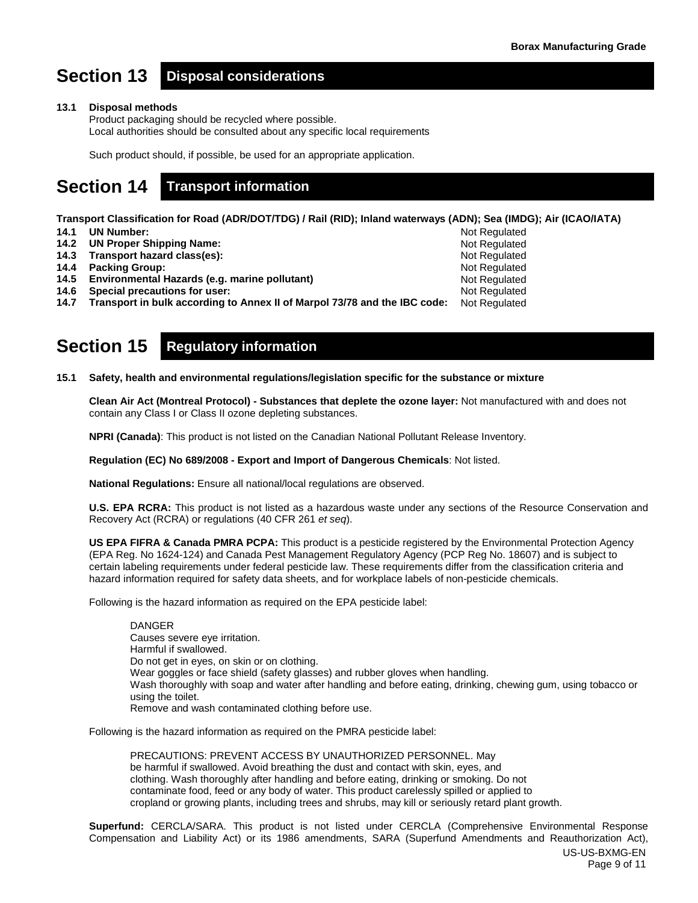Not Regulated Not Regulated Not Regulated Not Regulated Not Regulated

# **Section 13 Disposal considerations**

#### **13.1 Disposal methods**

Product packaging should be recycled where possible. Local authorities should be consulted about any specific local requirements

Such product should, if possible, be used for an appropriate application.

# **Section 14 Transport information**

**Transport Classification for Road (ADR/DOT/TDG) / Rail (RID); Inland waterways (ADN); Sea (IMDG); Air (ICAO/IATA)**

- **14.1 UN Number:**
- **14.2 UN Proper Shipping Name:**
- **14.3 Transport hazard class(es):**
- **14.4 Packing Group:**
- **14.5 Environmental Hazards (e.g. marine pollutant)**
- **14.6 Special precautions for user:**

**14.7 Transport in bulk according to Annex II of Marpol 73/78 and the IBC code:** Not Regulated Not Regulated

# **Section 15 Regulatory information**

**15.1 Safety, health and environmental regulations/legislation specific for the substance or mixture**

**Clean Air Act (Montreal Protocol) - Substances that deplete the ozone layer:** Not manufactured with and does not contain any Class I or Class II ozone depleting substances.

**NPRI (Canada)**: This product is not listed on the Canadian National Pollutant Release Inventory.

**Regulation (EC) No 689/2008 - Export and Import of Dangerous Chemicals**: Not listed.

**National Regulations:** Ensure all national/local regulations are observed.

**U.S. EPA RCRA:** This product is not listed as a hazardous waste under any sections of the Resource Conservation and Recovery Act (RCRA) or regulations (40 CFR 261 *et seq*).

**US EPA FIFRA & Canada PMRA PCPA:** This product is a pesticide registered by the Environmental Protection Agency (EPA Reg. No 1624-124) and Canada Pest Management Regulatory Agency (PCP Reg No. 18607) and is subject to certain labeling requirements under federal pesticide law. These requirements differ from the classification criteria and hazard information required for safety data sheets, and for workplace labels of non-pesticide chemicals.

Following is the hazard information as required on the EPA pesticide label:

DANGER Causes severe eye irritation. Harmful if swallowed. Do not get in eyes, on skin or on clothing. Wear goggles or face shield (safety glasses) and rubber gloves when handling. Wash thoroughly with soap and water after handling and before eating, drinking, chewing gum, using tobacco or using the toilet. Remove and wash contaminated clothing before use.

Following is the hazard information as required on the PMRA pesticide label:

PRECAUTIONS: PREVENT ACCESS BY UNAUTHORIZED PERSONNEL. May be harmful if swallowed. Avoid breathing the dust and contact with skin, eyes, and clothing. Wash thoroughly after handling and before eating, drinking or smoking. Do not contaminate food, feed or any body of water. This product carelessly spilled or applied to cropland or growing plants, including trees and shrubs, may kill or seriously retard plant growth.

**Superfund:** CERCLA/SARA. This product is not listed under CERCLA (Comprehensive Environmental Response Compensation and Liability Act) or its 1986 amendments, SARA (Superfund Amendments and Reauthorization Act),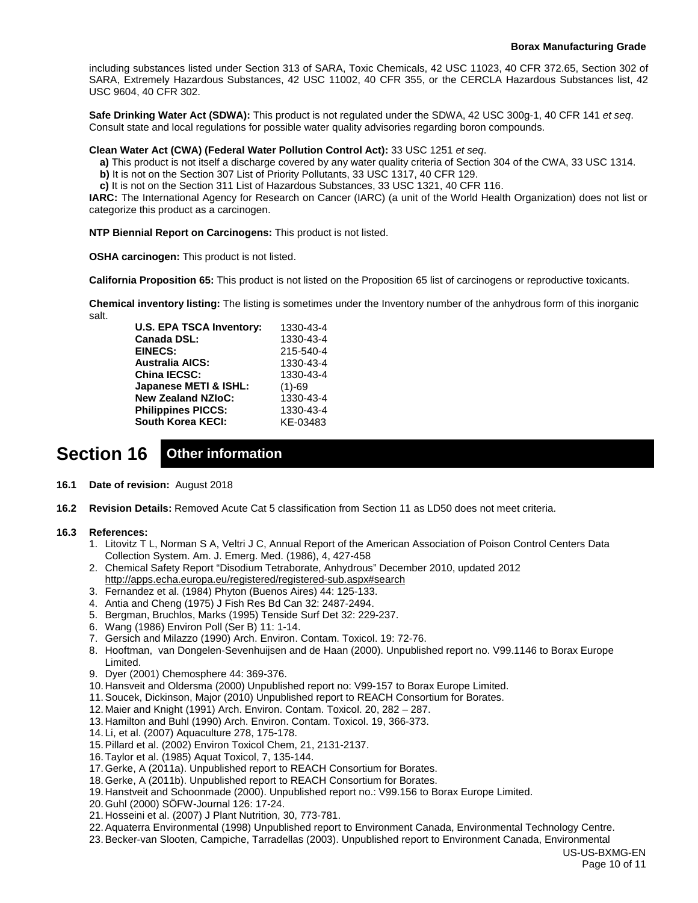including substances listed under Section 313 of SARA, Toxic Chemicals, 42 USC 11023, 40 CFR 372.65, Section 302 of SARA, Extremely Hazardous Substances, 42 USC 11002, 40 CFR 355, or the CERCLA Hazardous Substances list, 42 USC 9604, 40 CFR 302.

**Safe Drinking Water Act (SDWA):** This product is not regulated under the SDWA, 42 USC 300g-1, 40 CFR 141 *et seq*. Consult state and local regulations for possible water quality advisories regarding boron compounds.

**Clean Water Act (CWA) (Federal Water Pollution Control Act):** 33 USC 1251 *et seq*.

**a)** This product is not itself a discharge covered by any water quality criteria of Section 304 of the CWA, 33 USC 1314.

**b)** It is not on the Section 307 List of Priority Pollutants, 33 USC 1317, 40 CFR 129.

**c)** It is not on the Section 311 List of Hazardous Substances, 33 USC 1321, 40 CFR 116.

**IARC:** The International Agency for Research on Cancer (IARC) (a unit of the World Health Organization) does not list or categorize this product as a carcinogen.

**NTP Biennial Report on Carcinogens:** This product is not listed.

**OSHA carcinogen:** This product is not listed.

**California Proposition 65:** This product is not listed on the Proposition 65 list of carcinogens or reproductive toxicants.

**Chemical inventory listing:** The listing is sometimes under the Inventory number of the anhydrous form of this inorganic salt.

| <b>U.S. EPA TSCA Inventory:</b> | 1330-43-4 |
|---------------------------------|-----------|
| <b>Canada DSL:</b>              | 1330-43-4 |
| <b>EINECS:</b>                  | 215-540-4 |
| <b>Australia AICS:</b>          | 1330-43-4 |
| <b>China IECSC:</b>             | 1330-43-4 |
| Japanese METI & ISHL:           | $(1)-69$  |
| <b>New Zealand NZIoC:</b>       | 1330-43-4 |
| <b>Philippines PICCS:</b>       | 1330-43-4 |
| <b>South Korea KECI:</b>        | KE-03483  |

# **Section 16 Other information**

- **16.1 Date of revision:** August 2018
- **16.2 Revision Details:** Removed Acute Cat 5 classification from Section 11 as LD50 does not meet criteria.

#### **16.3 References:**

- 1. Litovitz T L, Norman S A, Veltri J C, Annual Report of the American Association of Poison Control Centers Data Collection System. Am. J. Emerg. Med. (1986), 4, 427-458
- 2. Chemical Safety Report "Disodium Tetraborate, Anhydrous" December 2010, updated 2012 <http://apps.echa.europa.eu/registered/registered-sub.aspx#search>
- 3. Fernandez et al. (1984) Phyton (Buenos Aires) 44: 125-133.
- 4. Antia and Cheng (1975) J Fish Res Bd Can 32: 2487-2494.
- 5. Bergman, Bruchlos, Marks (1995) Tenside Surf Det 32: 229-237.
- 6. Wang (1986) Environ Poll (Ser B) 11: 1-14.
- 7. Gersich and Milazzo (1990) Arch. Environ. Contam. Toxicol. 19: 72-76.
- 8. Hooftman, van Dongelen-Sevenhuijsen and de Haan (2000). Unpublished report no. V99.1146 to Borax Europe Limited.
- 9. Dyer (2001) Chemosphere 44: 369-376.
- 10. Hansveit and Oldersma (2000) Unpublished report no: V99-157 to Borax Europe Limited.
- 11.Soucek, Dickinson, Major (2010) Unpublished report to REACH Consortium for Borates.
- 12. Maier and Knight (1991) Arch. Environ. Contam. Toxicol. 20, 282 287.
- 13. Hamilton and Buhl (1990) Arch. Environ. Contam. Toxicol. 19, 366-373.
- 14. Li, et al. (2007) Aquaculture 278, 175-178.
- 15.Pillard et al. (2002) Environ Toxicol Chem, 21, 2131-2137.
- 16.Taylor et al. (1985) Aquat Toxicol, 7, 135-144.
- 17.Gerke, A (2011a). Unpublished report to REACH Consortium for Borates.
- 18.Gerke, A (2011b). Unpublished report to REACH Consortium for Borates.
- 19. Hanstveit and Schoonmade (2000). Unpublished report no.: V99.156 to Borax Europe Limited.
- 20.Guhl (2000) SÖFW-Journal 126: 17-24.
- 21. Hosseini et al. (2007) J Plant Nutrition, 30, 773-781.
- 22.Aquaterra Environmental (1998) Unpublished report to Environment Canada, Environmental Technology Centre.
- 23.Becker-van Slooten, Campiche, Tarradellas (2003). Unpublished report to Environment Canada, Environmental